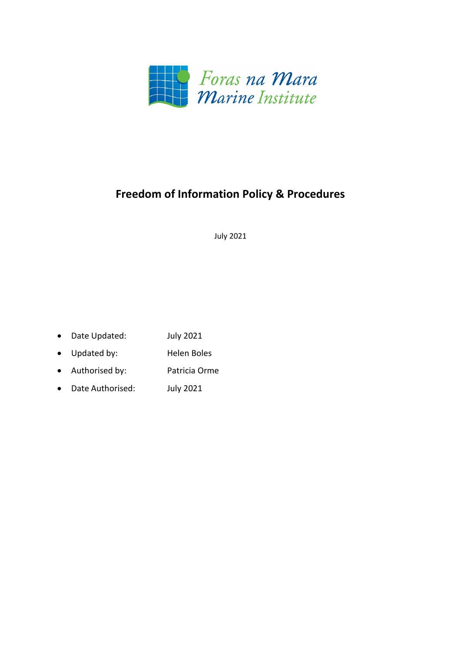

# **Freedom of Information Policy & Procedures**

July 2021

- Date Updated: July 2021
- Updated by: Helen Boles
- Authorised by: Patricia Orme
- Date Authorised: July 2021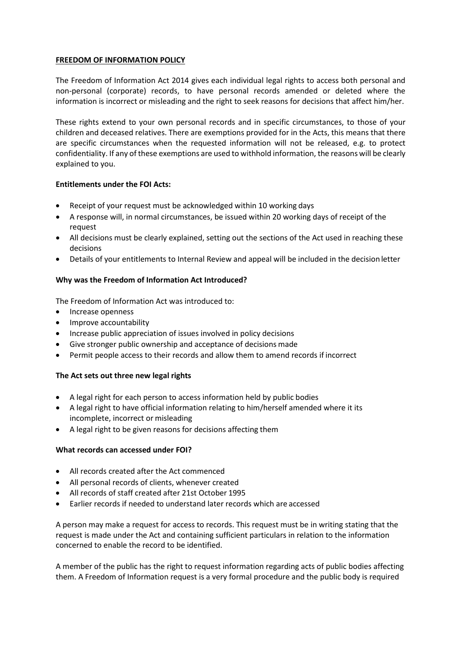# **FREEDOM OF INFORMATION POLICY**

The Freedom of Information Act 2014 gives each individual legal rights to access both personal and non-personal (corporate) records, to have personal records amended or deleted where the information is incorrect or misleading and the right to seek reasons for decisions that affect him/her.

These rights extend to your own personal records and in specific circumstances, to those of your children and deceased relatives. There are exemptions provided for in the Acts, this means that there are specific circumstances when the requested information will not be released, e.g. to protect confidentiality. If any of these exemptions are used to withhold information, the reasons will be clearly explained to you.

# **Entitlements under the FOI Acts:**

- Receipt of your request must be acknowledged within 10 working days
- A response will, in normal circumstances, be issued within 20 working days of receipt of the request
- All decisions must be clearly explained, setting out the sections of the Act used in reaching these decisions
- Details of your entitlements to Internal Review and appeal will be included in the decision letter

# **Why was the Freedom of Information Act Introduced?**

The Freedom of Information Act was introduced to:

- Increase openness
- Improve accountability
- Increase public appreciation of issues involved in policy decisions
- Give stronger public ownership and acceptance of decisions made
- Permit people access to their records and allow them to amend records if incorrect

# **The Act sets out three new legal rights**

- A legal right for each person to access information held by public bodies
- A legal right to have official information relating to him/herself amended where it its incomplete, incorrect or misleading
- A legal right to be given reasons for decisions affecting them

## **What records can accessed under FOI?**

- All records created after the Act commenced
- All personal records of clients, whenever created
- All records of staff created after 21st October 1995
- Earlier records if needed to understand later records which are accessed

A person may make a request for access to records. This request must be in writing stating that the request is made under the Act and containing sufficient particulars in relation to the information concerned to enable the record to be identified.

A member of the public has the right to request information regarding acts of public bodies affecting them. A Freedom of Information request is a very formal procedure and the public body is required